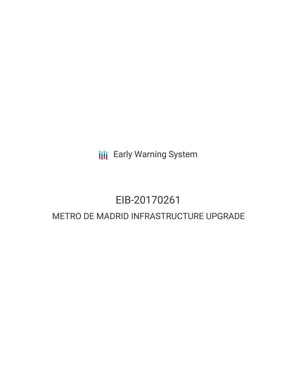**III** Early Warning System

# EIB-20170261 METRO DE MADRID INFRASTRUCTURE UPGRADE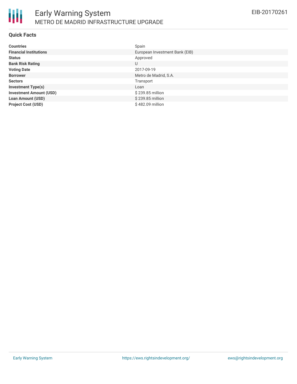

#### **Quick Facts**

| <b>Countries</b>               | Spain                          |
|--------------------------------|--------------------------------|
| <b>Financial Institutions</b>  | European Investment Bank (EIB) |
| <b>Status</b>                  | Approved                       |
| <b>Bank Risk Rating</b>        | U                              |
| <b>Voting Date</b>             | 2017-09-19                     |
| <b>Borrower</b>                | Metro de Madrid, S.A.          |
| <b>Sectors</b>                 | Transport                      |
| <b>Investment Type(s)</b>      | Loan                           |
| <b>Investment Amount (USD)</b> | \$239.85 million               |
| <b>Loan Amount (USD)</b>       | \$239.85 million               |
| <b>Project Cost (USD)</b>      | \$482.09 million               |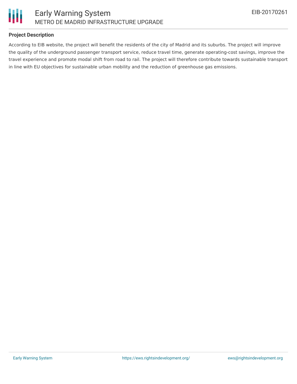

### **Project Description**

According to EIB website, the project will benefit the residents of the city of Madrid and its suburbs. The project will improve the quality of the underground passenger transport service, reduce travel time, generate operating-cost savings, improve the travel experience and promote modal shift from road to rail. The project will therefore contribute towards sustainable transport in line with EU objectives for sustainable urban mobility and the reduction of greenhouse gas emissions.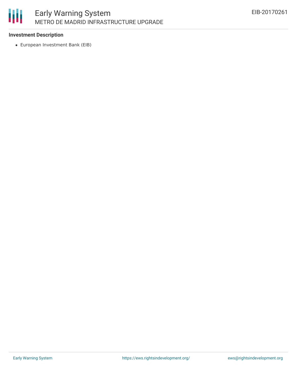

### **Investment Description**

European Investment Bank (EIB)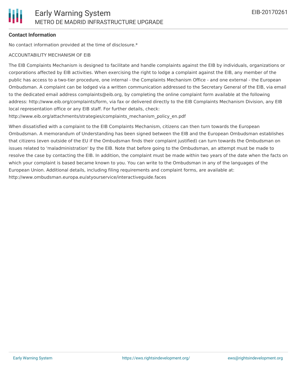#### **Contact Information**

No contact information provided at the time of disclosure.\*

#### ACCOUNTABILITY MECHANISM OF EIB

The EIB Complaints Mechanism is designed to facilitate and handle complaints against the EIB by individuals, organizations or corporations affected by EIB activities. When exercising the right to lodge a complaint against the EIB, any member of the public has access to a two-tier procedure, one internal - the Complaints Mechanism Office - and one external - the European Ombudsman. A complaint can be lodged via a written communication addressed to the Secretary General of the EIB, via email to the dedicated email address complaints@eib.org, by completing the online complaint form available at the following address: http://www.eib.org/complaints/form, via fax or delivered directly to the EIB Complaints Mechanism Division, any EIB local representation office or any EIB staff. For further details, check:

http://www.eib.org/attachments/strategies/complaints\_mechanism\_policy\_en.pdf

When dissatisfied with a complaint to the EIB Complaints Mechanism, citizens can then turn towards the European Ombudsman. A memorandum of Understanding has been signed between the EIB and the European Ombudsman establishes that citizens (even outside of the EU if the Ombudsman finds their complaint justified) can turn towards the Ombudsman on issues related to 'maladministration' by the EIB. Note that before going to the Ombudsman, an attempt must be made to resolve the case by contacting the EIB. In addition, the complaint must be made within two years of the date when the facts on which your complaint is based became known to you. You can write to the Ombudsman in any of the languages of the European Union. Additional details, including filing requirements and complaint forms, are available at: http://www.ombudsman.europa.eu/atyourservice/interactiveguide.faces